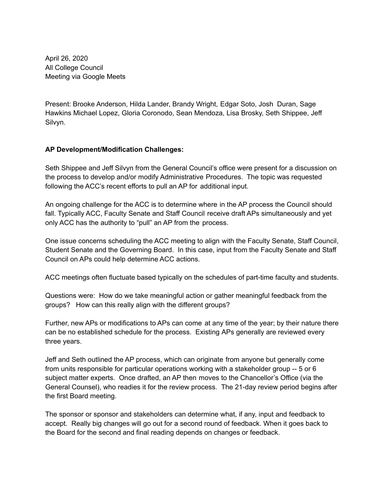April 26, 2020 All College Council Meeting via Google Meets

Present: Brooke Anderson, Hilda Lander, Brandy Wright, Edgar Soto, Josh Duran, Sage Hawkins Michael Lopez, Gloria Coronodo, Sean Mendoza, Lisa Brosky, Seth Shippee, Jeff Silvyn.

## **AP Development/Modification Challenges:**

Seth Shippee and Jeff Silvyn from the General Council's office were present for a discussion on the process to develop and/or modify Administrative Procedures. The topic was requested following the ACC's recent efforts to pull an AP for additional input.

An ongoing challenge for the ACC is to determine where in the AP process the Council should fall. Typically ACC, Faculty Senate and Staff Council receive draft APs simultaneously and yet only ACC has the authority to "pull" an AP from the process.

One issue concerns scheduling the ACC meeting to align with the Faculty Senate, Staff Council, Student Senate and the Governing Board. In this case, input from the Faculty Senate and Staff Council on APs could help determine ACC actions.

ACC meetings often fluctuate based typically on the schedules of part-time faculty and students.

Questions were: How do we take meaningful action or gather meaningful feedback from the groups? How can this really align with the different groups?

Further, new APs or modifications to APs can come at any time of the year; by their nature there can be no established schedule for the process. Existing APs generally are reviewed every three years.

Jeff and Seth outlined the AP process, which can originate from anyone but generally come from units responsible for particular operations working with a stakeholder group -- 5 or 6 subject matter experts. Once drafted, an AP then moves to the Chancellor's Office (via the General Counsel), who readies it for the review process. The 21-day review period begins after the first Board meeting.

The sponsor or sponsor and stakeholders can determine what, if any, input and feedback to accept. Really big changes will go out for a second round of feedback. When it goes back to the Board for the second and final reading depends on changes or feedback.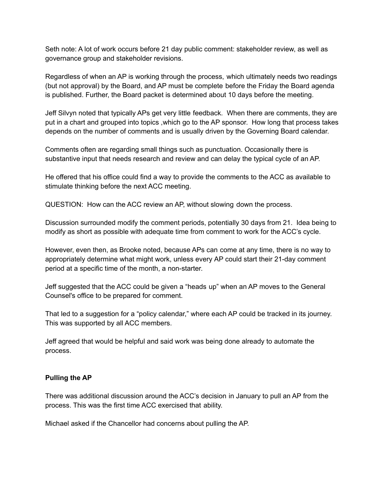Seth note: A lot of work occurs before 21 day public comment: stakeholder review, as well as governance group and stakeholder revisions.

Regardless of when an AP is working through the process, which ultimately needs two readings (but not approval) by the Board, and AP must be complete before the Friday the Board agenda is published. Further, the Board packet is determined about 10 days before the meeting.

Jeff Silvyn noted that typically APs get very little feedback. When there are comments, they are put in a chart and grouped into topics ,which go to the AP sponsor. How long that process takes depends on the number of comments and is usually driven by the Governing Board calendar.

Comments often are regarding small things such as punctuation. Occasionally there is substantive input that needs research and review and can delay the typical cycle of an AP.

He offered that his office could find a way to provide the comments to the ACC as available to stimulate thinking before the next ACC meeting.

QUESTION: How can the ACC review an AP, without slowing down the process.

Discussion surrounded modify the comment periods, potentially 30 days from 21. Idea being to modify as short as possible with adequate time from comment to work for the ACC's cycle.

However, even then, as Brooke noted, because APs can come at any time, there is no way to appropriately determine what might work, unless every AP could start their 21-day comment period at a specific time of the month, a non-starter.

Jeff suggested that the ACC could be given a "heads up" when an AP moves to the General Counsel's office to be prepared for comment.

That led to a suggestion for a "policy calendar," where each AP could be tracked in its journey. This was supported by all ACC members.

Jeff agreed that would be helpful and said work was being done already to automate the process.

## **Pulling the AP**

There was additional discussion around the ACC's decision in January to pull an AP from the process. This was the first time ACC exercised that ability.

Michael asked if the Chancellor had concerns about pulling the AP.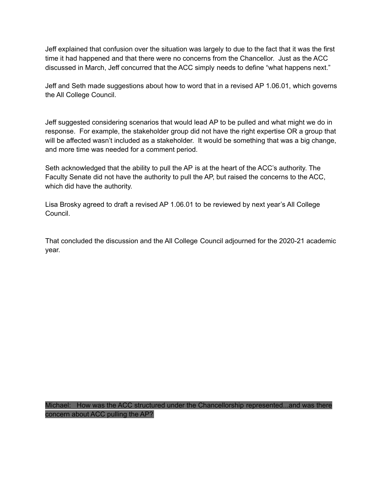Jeff explained that confusion over the situation was largely to due to the fact that it was the first time it had happened and that there were no concerns from the Chancellor. Just as the ACC discussed in March, Jeff concurred that the ACC simply needs to define "what happens next."

Jeff and Seth made suggestions about how to word that in a revised AP 1.06.01, which governs the All College Council.

Jeff suggested considering scenarios that would lead AP to be pulled and what might we do in response. For example, the stakeholder group did not have the right expertise OR a group that will be affected wasn't included as a stakeholder. It would be something that was a big change, and more time was needed for a comment period.

Seth acknowledged that the ability to pull the AP is at the heart of the ACC's authority. The Faculty Senate did not have the authority to pull the AP, but raised the concerns to the ACC, which did have the authority.

Lisa Brosky agreed to draft a revised AP 1.06.01 to be reviewed by next year's All College Council.

That concluded the discussion and the All College Council adjourned for the 2020-21 academic year.

Michael: How was the ACC structured under the Chancellorship represented...and was there concern about ACC pulling the AP?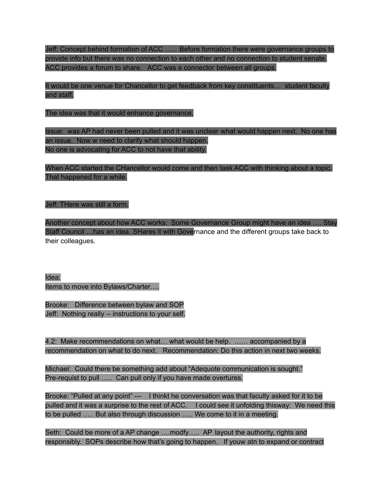Jeff: Concept behind formation of ACC ….. Before formation there were governance groups to provide info but there was no connection to each other and no connection to student senate. ACC provides a forum to share. ACC was a connector between all groups.

It would be one venue for Chancellor to get feedback from key constituents… student faculty and staff.

The idea was that it would enhance governance.

Issue: was AP had never been pulled and it was unclear what would happen next. No one has an issue. Now w need to clarify what should happen. No one is advocating for ACC to not have that ability.

When ACC started the CHancellor would come and then task ACC with thinking about a topic. That happened for a while.

Jeff: THere was still a form.

Another concept about how ACC works: Some Governance Group might have an idea …. Stay Staff Council …has an idea. SHares it with Governance and the different groups take back to their colleagues.

Idea: Items to move into Bylaws/Charter….

Brooke: Difference between bylaw and SOP Jeff: Nothing really -- instructions to your self.

4.2: Make recommendations on what... what would be help. ...... accompanied by a recommendation on what to do next. Recommendation: Do this action in next two weeks.

Michael: Could there be something add about "Adequote communication is sought." Pre-requist to pull ….. Can pull only if you have made overtures.

Brooke: "Pulled at any point" --- I thinkt he conversation was that faculty asked for it to be pulled and it was a surprise to the rest of ACC. I could see it unfolding thisway: We need this to be pulled ….. But also through discussion ….. We come to it in a meeting.

Seth: Could be more of a AP change ....modfy..... AP layout the authority, rights and responsibly. SOPs describe how that's going to happen. If youw atn to expand or contract